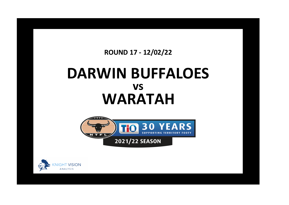## **ROUND 17 - 12/02/22**

## **DARWIN BUFFALOES WARATAH vs**



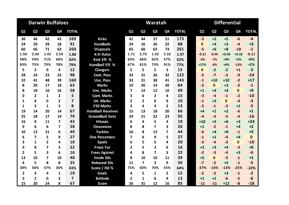| <b>Darwin Buffaloes</b> |                         |                |                |                |                          |                         |                | Waratah        |                |              | <b>Differential</b> |                |                |                |              |  |  |
|-------------------------|-------------------------|----------------|----------------|----------------|--------------------------|-------------------------|----------------|----------------|----------------|--------------|---------------------|----------------|----------------|----------------|--------------|--|--|
| Q1                      | Q <sub>2</sub>          | Q <sub>3</sub> | Q4             | <b>TOTAL</b>   |                          | Q1                      | Q <sub>2</sub> | Q <sub>3</sub> | Q <sub>4</sub> | <b>TOTAL</b> | Q1                  | Q <sub>2</sub> | Q <sub>3</sub> | Q <sub>4</sub> | <b>TOTAL</b> |  |  |
| 36                      | 46                      | 42             | 45             | 169            | <b>Kicks</b>             | 41                      | 44             | 37             | 51             | 173          | $-5$                | $+2$           | $+5$           | $-6$           | $-4$         |  |  |
| 24                      | 20                      | 29             | 18             | 91             | <b>Handballs</b>         | 24                      | 16             | 26             | 22             | 88           | $\mathbf{0}$        | $+4$           | $+3$           | $-4$           | $+3$         |  |  |
| 60                      | 66                      | 71             | 63             | 260            | <b>Disposals</b>         | 65                      | 60             | 63             | 73             | 261          | $-5$                | $+6$           | $+8$           | $-10$          | $-1$         |  |  |
| 1.50                    | 2.30                    | 1.45           | 2.50           | 1.86           | <b>K:H Ratio</b>         | 1.71                    | 2.75           | 1.42           | 2.32           | 1.97         | $-0.21$             | $-0.45$        | $+0.03$        | $+0.18$        | $-0.11$      |  |  |
| 58%                     | 59%                     | 71%            | 60%            | 62%            | Kick Eff. %              | 63%                     | 66%            | 62%            | 57%            | 62%          | $-5%$               | $-7%$          | $+9%$          | $+3%$          | $+0%$        |  |  |
| 83%                     | 75%                     | 79%            | 78%            | 79%            | <b>Handball Eff. %</b>   | 67%                     | 81%            | 73%            | 91%            | 77%          | $+17%$              | $-6%$          | $+6%$          | $-13%$         | $+2%$        |  |  |
| 5                       | 3                       | $\mathbf 0$    | 4              | 12             | <b>Clangers</b>          | 5                       | 5              | $\overline{2}$ | 3              | 15           | $\mathbf{0}$        | $-2$           | $-2$           | $+1$           | $-3$         |  |  |
| 28                      | 24                      | 23             | 23             | 98             | <b>Cont. Poss</b>        | 33                      | 31             | 26             | 32             | 122          | $-5$                | $-7$           | $-3$           | $-9$           | $-24$        |  |  |
| 32                      | 41                      | 48             | 39             | 160            | <b>Unc. Poss</b>         | 33                      | 31             | 38             | 41             | 143          | $-1$                | $+10$          | $+10$          | $-2$           | $+17$        |  |  |
| 8                       | 20                      | 17             | 18             | 63             | <b>Marks</b>             | 10                      | 20             | 14             | 20             | 64           | $-2$                | $\mathbf{0}$   | $+3$           | $-2$           | $-1$         |  |  |
| 8                       | 18                      | 16             | 16             | 58             | <b>Unc. Marks</b>        | 7                       | 14             | 12             | 16             | 49           | $+1$                | $+4$           | $+4$           | $\mathbf{0}$   | $+9$         |  |  |
| 0                       | $\overline{2}$          | 1              | $\mathbf{2}$   | 5              | <b>Cont. Marks</b>       | 3                       | 6              | $\mathbf{2}$   | 4              | 15           | $-3$                | $-4$           | $-1$           | $-2$           | $-10$        |  |  |
| $\mathbf{1}$            | 4                       | $\mathbf 0$    | $\overline{2}$ | $\overline{7}$ | <b>Int. Marks</b>        | 2                       | $\overline{2}$ | $\Omega$       | 6              | 10           | $-1$                | $+2$           | $\mathbf{0}$   | $-4$           | $-3$         |  |  |
| 1                       | 3                       | 1              | 3              | 8              | <b>F50 Marks</b>         | 3                       | 4              | 4              | $\mathbf{2}$   | 13           | $-2$                | $-1$           | $-3$           | $+1$           | $-5$         |  |  |
| 19                      | 14                      | 20             | 14             | 67             | <b>Handball Receives</b> | 15                      | 13             | 18             | 20             | 66           | $+4$                | $+1$           | $+2$           | $-6$           | $+1$         |  |  |
| 25                      | 18                      | 17             | 19             | 79             | <b>Groundball Gets</b>   | 29                      | 21             | 22             | 23             | 95           | $-4$                | $-3$           | $-5$           | $-4$           | $-16$        |  |  |
| 16                      | 9                       | 11             | 7              | 43             | <b>Hitouts</b>           | 6                       | 4              | 5              | 4              | 19           | $+10$               | $+5$           | $+6$           | $+3$           | $+24$        |  |  |
| 9                       | 6                       | 6              | 7              | 28             | <b>Clearances</b>        | 8                       | 8              | 7              | 3              | 26           | $+1$                | $-2$           | $-1$           | $+4$           | $+2$         |  |  |
| 10                      | 12                      | 21             | 6              | 49             | <b>Tackles</b>           | 16                      | 8              | 13             | 7              | 44           | $-6$                | $+4$           | $+8$           | $-1$           | $+5$         |  |  |
| 6                       | $\overline{\mathbf{z}}$ | 5              | 9              | 27             | <b>One Percenters</b>    | $\overline{\mathbf{z}}$ | 6              | 9              | 5              | 27           | $-1$                | $+1$           | $-4$           | $+4$           | $\mathbf 0$  |  |  |
| 3                       | $\mathbf{1}$            | $\overline{2}$ | 4              | 10             | <b>Spoils</b>            | 6                       | 5              | 5              | 4              | 20           | $-3$                | $-4$           | $-3$           | $\mathbf{0}$   | $-10$        |  |  |
| 4                       | 8                       | 7              | 3              | 22             | <b>Frees For</b>         | 2                       | 5              | 3              | 6              | 16           | $+2$                | $+3$           | $+4$           | $-3$           | $+6$         |  |  |
| $\overline{2}$          | 5                       | 3              | 6              | 16             | <b>Frees Against</b>     | 4                       | 8              | $\overline{7}$ | 3              | 22           | $-2$                | $-3$           | $-4$           | $+3$           | $-6$         |  |  |
| 13                      | 10                      | 7              | 10             | 40             | <b>Inside 50s</b>        | 8                       | 10             | 10             | 11             | 39           | $+5$                | $\mathbf{0}$   | $-3$           | $-1$           | $+1$         |  |  |
| 4                       | 5                       | 8              | 8              | 25             | <b>Rebound 50s</b>       | 11                      | $\overline{ }$ | 3              | 9              | 30           | $-7$                | $-2$           | $+5$           | $-1$           | $-5$         |  |  |
| 38%                     | 50%                     | 57%            | 30%            | 43%            | Score / 150 %            | 75%                     | 60%            | 70%            | 55%            | 64%          | $-37%$              | $-10%$         | $-13%$         | $-25%$         | $-22%$       |  |  |
| $\overline{\mathbf{2}}$ | 3                       | 4              | 1              | 10             | <b>Goals</b>             | 4                       | 5              | 1              | $\mathbf{2}$   | 12           | $-2$                | $-2$           | $+3$           | $-1$           | $-2$         |  |  |
| 3                       | $\overline{2}$          | $\mathbf{0}$   | 2              | $\overline{7}$ | <b>Behinds</b>           | $\overline{2}$          | $\mathbf{1}$   | 6              | 4              | 13           | $+1$                | $+1$           | $-6$           | $-2$           | $-6$         |  |  |
| 15                      | 20                      | 24             | 8              | 67             | <b>Score</b>             | 26                      | 31             | 12             | 16             | 85           | $-11$               | $-11$          | $+12$          | $-8$           | $-18$        |  |  |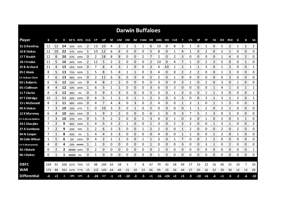| <b>Darwin Buffaloes</b> |     |      |     |             |             |              |       |         |    |                |       |      |                   |      |       |       |            |      |    |           |      |    |      |              |    |                |           |
|-------------------------|-----|------|-----|-------------|-------------|--------------|-------|---------|----|----------------|-------|------|-------------------|------|-------|-------|------------|------|----|-----------|------|----|------|--------------|----|----------------|-----------|
| <b>Player</b>           | К   |      | D   |             | KE% HE% CLG |              | CP    | UP      | M  | UM             | CM    |      | IM F50M HR GBG HO |      |       |       | <b>CLR</b> | т    | 1% | <b>SP</b> | FF   | FA | 150  | <b>R50</b>   | G  | B              | <b>SA</b> |
| 31 G Remfrey            | 12  | 12   | 24  | 42%         | 83%         |              | 13    | 10      | 4  | $\overline{2}$ | 2     |      | 1                 | 6    | 10    | 0     | 8          | 3    |    | 0         |      | 0  | 5    | 2            | 1  | $\mathbf{1}$   | 2         |
| 10 B Stokes             | 12  | 10   | 22  | 67%         | 100%        | 1            | 10    | 12      | 6  | 6              | 0     | 0    | 0                 | 5    | 8     | 0     |            | 4    |    | 0         | 2    | 0  | 2    | 1            | 0  | 0              | 0         |
| 17 T Baulch             | 12  | 8    | 20  | 67%         | 100%        | 0            | 2     | 18      | 8  | 8              | 0     | 0    | 2                 | 7    | 2     | 0     | 2          | 3    | 0  | 0         | 0    | 0  | 1    | 4            | 0  | $\overline{2}$ | 0         |
| 18 J Vrodos             | 11  | 5    | 16  | 64%         | 60%         | 2            | 12    | 5       | 2  | 2              | 0     | 0    | 0                 | 2    | 10    | 0     | 4          | 7    |    | 0         | 2    | 3  | 5    | 0            | 0  | 1              | 0         |
| 25 B Archard            | 11  | 4    | 15  |             | 45% 100%    | 0            | 7     | 8       | 4  | 3              | 1     | 0    | 0                 | 3    | 4     | 43    |            | 2    | 1  | 1         | 3    | 0  | 1    | 2            | 0  | 0              | 1         |
| 05 C Abala              | 8   | 5    | 13  | 75%         | 100%        | $\mathbf{1}$ | 5     | 8       | 5  | 4              | 1     | 1    | 0                 | 3    | 4     | 0     | 0          | 2    | 2  | 2         | 0    | 0  | 1    | 3            | 0  | 0              | 0         |
| 13 Jackson Clark        | 7   | 6    | 13  | 86%         | 83%         | 0            | 2     | 11      | 6  | 6              | 0     | 0    | 0                 | 5    | 2     | 0     |            | 0    | 0  | 0         | 0    | 0  | 0    | 2            | 0  | 0              | 0         |
| 02 L Roberts            | 6   | 6    | 12  | 50%         | 33%         | 0            | 4     | 8       | 2  | 2              | 0     | 0    | 0                 | 5    | 3     | 0     | 0          | 3    |    | 0         | 2    | 0  | 3    | 0            | 1  | 0              | 0         |
| 03 J Collinson          | 8   | 4    | 12  | 50%         | 100%        | 1            | 6     | 5       | 1  | 1              | 0     | 0    | 0                 | 3    | 6     | 0     | 3          | 0    | 0  | 0         | 0    | 1  | 4    | 1            | 0  | 1              | 1         |
| 11 T Clarke             | 8   | 4    | 12  | 88%         | 0%          | 0            | 3     | 9       | 3  | 3              | 0     | 0    | 0                 | 5    | 3     | 0     |            | 3    | 0  | 0         |      | 1  | 3    | 0            | 0  | 0              | 1         |
| 07 T Eldridge           | 10  |      | 11  |             | 60% 100%    | 0            | 6     | 5       |    |                | 0     |      | 1                 | 2    | 3     | 0     | 3          | 3    | 0  | 0         | 3    |    | 3    | 1            | 2  | 0              | 1         |
| <b>15 L McDonald</b>    | 8   | 3    | 11  | 88%         | 100%        | 0            | 4     |         | 4  | 4              | 0     | 3    | 0                 | 2    | 4     | 0     | 0          |      | 3  | 1         | 0    | 1  |      | 3            | 0  | 0              | 1         |
| 09 A Stokes             | 7   | 3    | 10  | 29%         | 67%         | 1            | 0     | 10      | 3  | 3              | 0     |      | 0                 | 5    | 0     | 0     | 0          | 0    |    | 1         | 2    | 0  | 2    | $\mathbf{1}$ | 0  | 0              | 0         |
| 12 K Maroney            | 6   | 4    | 10  | 83%         | 100%        | 0            | 1     | 9       | 2  | $\mathfrak{p}$ | 0     | 0    | 0                 | 6    | 1     | 0     | 0          | 3    |    | 5         |      | 3  | 0    | 1            | 0  | 0              | 0         |
| 32 H Ahmat-Watkins      | 7   | 3    | 10  | 43%         | 33%         | 0            | 5     | 5       | 2  | 2              | 0     | 0    | 2                 | 3    | 4     | 0     |            | 0    | 3  | 0         |      | 0  | 2    | 0            | 3  | 1              | 0         |
| 24 C Sharples           | 7   | 2    | 9   | 86%         | 100%        | 1            | 4     | 5       | 3  | 2              | 1     | 0    | 0                 | 1    | 3     | 0     | 2          | 3    | 2  | 0         | 0    | 1  | 3    | 1            | 0  | 0              | 2         |
| 27 A Sambono            | 7   | 2    | 9   | 43%         | 50%         | 1            | 2     | 6       | 3  | 3              | 0     | 0    | 1                 | 2    | 2     | 0     | 0          |      | 2  | 0         | 0    | 0  | 2    | 0            | 2  | 0              | 0         |
| 04 N Cooper             | 7   |      | 8   | 43%         | 0%          | 1            | 4     | Δ       | 3  | 3              | 0     | 0    | 0                 | 0    | 4     | 0     | 0          |      | 2  | 0         | Ω    | 1  | 2    | 0            | 1  | 0              | 0         |
| 30 Colin Wilson         | 1   | 5    | 6   | 0%          | 100%        | 0            | 4     | 2       | 1  |                | 0     | 0    | 1                 | 1    | 3     | 0     |            | 7    | 0  | 0         |      | 2  | 0    | 0            | 0  | 0              | 0         |
| 19 D Dhamarrandji       | 4   | 0    | 4   |             | 50% #####   | 1            | 1     | 3       | 0  | 0              | 0     | 0    | 0                 | 1    | 0     | 0     | 0          | 3    | 0  | 0         | 3    | 1  | 0    | 2            | 0  | 0              | 0         |
| 42 J Kickett            | 0   | 2    | 2   | ##### 100%  |             | 0            | 2     | 0       | 0  | 0              | 0     | 0    | 0                 | 0    | 2     | 0     | 0          | 0    | 0  | 0         | 0    | 0  | 0    | 0            | 0  | 0              | 1         |
| 06 J Stokes             | 0   | 1    | 1   | #####       | 0%          | 0            | 1     | 0       | 0  | 0              | 0     | 0    | 0                 | 0    | 1     | 0     | 0          | 0    | 0  | 0         | 0    | 0  | 0    | 0            | 0  | 0              | 0         |
|                         |     |      |     |             |             |              |       |         |    |                |       |      |                   |      |       |       |            |      |    |           |      |    |      |              |    |                |           |
| <b>DBFC</b>             | 169 | 91   | 260 | 62%         | 79%         | 12           | 98    | 160     | 63 | 58             | 5     | 7    | 8                 | 67   | 79    | 43    | 28         | 49   | 27 | 10        | 22   | 16 | 40   | 25           | 10 | 7              | 10        |
| <b>WAR</b>              | 173 | 88   |     | 261 62% 77% |             | -15          |       | 122 143 | 64 | 49             | 15    | 10   | 13                | 66   | 95    | 19    | 26         | 44   | 27 | 20        | 16   | 22 | 39   | 30           | 12 | 13             | 20        |
| <b>Differential</b>     | -4  | $+3$ | -1  | $+0%$       | $+2%$       | -3           | $-24$ | $+17$   | -1 | $+9$           | $-10$ | $-3$ | -5                | $+1$ | $-16$ | $+24$ | $+2$       | $+5$ | 0  | $-10$     | $+6$ | -6 | $+1$ | -5           | -2 | -6             | $-10$     |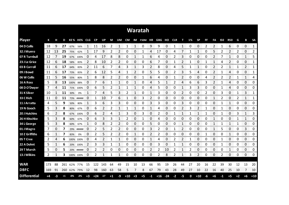| <b>Waratah</b>      |     |    |      |           |             |                      |           |              |      |              |       |                     |                          |      |       |              |      |                |    |                |           |                          |            |                |          |                |                        |
|---------------------|-----|----|------|-----------|-------------|----------------------|-----------|--------------|------|--------------|-------|---------------------|--------------------------|------|-------|--------------|------|----------------|----|----------------|-----------|--------------------------|------------|----------------|----------|----------------|------------------------|
| <b>Player</b>       | К   | н  | D    |           | KE% HE% CLG |                      | <b>CP</b> | UP           | М    | UM           |       |                     | CM IM F50M HR GBG HO CLR |      |       |              |      | т              | 1% | <b>SP</b>      | <b>FF</b> | FA                       | <b>I50</b> | <b>R50</b>     | G        | В              | <b>SA</b>              |
| 04 D Collis         | 18  | 9  | 27   | 67%       | 56%         |                      | 11        | 16           | 2    | 1            | 1     | 1                   | 0                        | 9    | 9     | 0            |      | 1              | 0  | 0              | 2         | 2                        |            | 6              | 0        | 0              | 1                      |
| 32 J Munro          | 12  | 13 | 25   | 75%       | 62%         |                      | 17        | 9            | 2    | 2            | 0     | 0                   |                          | 4    | 17    | 0            | 4    |                | 1  | $\mathbf{1}$   | 0         | 5                        | 2          | 2              | 2        | 0              | 2                      |
| 07 R Turnbull       | 12  |    | 19   | 67%       | 100%        | 0                    | 4         | 17           | 8    | 8            | 0     |                     |                          | 6    | 4     | 0            |      | 3              | 0  | 0              | 0         | 2                        |            | 1              | 0        | 1              | 5                      |
| 23 J Le Grice       | 12  | 6  | 18   | 58%       | 83%         | 2                    | 8         | 10           | 2    | 2            | 0     | 0                   | 0                        | 6    |       | 0            |      | 2              | 1  | 0              |           | 1                        | 4          | 2              | 0        | 0              | 1                      |
| 03 B Carroll        | 11  | 6  | 17   | 64%       | 83%         | 2                    | 11        | 6            | 7    | 4            | 3     | 1                   | 3                        | 2    | 8     | 0            | 4    | 5              | 1  | $\mathbf{1}$   | 0         | $\overline{2}$           | 2          | $\mathbf{1}$   | 1        | $\overline{2}$ | 1                      |
| 09 J Bowd           | 11  | 6  | 17   | 73%       | 83%         | 2                    | 6         | 12           | 5    | 4            | 1     | 2                   | 0                        | 5    | 5     | 0            | 2    | 3              | 5  | 4              | 0         | 2                        | 1          | 4              | 0        | 0              | 1                      |
| 06 W Collis         | 11  | 5  | 16   | 55%       | 80%         | 1                    | 8         | 8            | 2    | 2            | 0     | 0                   |                          | 6    | 4     | 0            |      | 2              | 0  | 0              | 4         | 2                        | 2          | $\overline{2}$ | 1        | 1              | 4                      |
| 16 A Ross           | 5   | 8  | 13   | 100%      | 88%         | 0                    | 7         | 6            | 1    | 1            | 0     | 1                   | 0                        | 4    | 5     | 1            | 2    | 4              | 6  | 6              | 3         | 2                        |            | 4              | 0        | 0              | 0                      |
| 08 D O'Dwyer        | 7   | 4  | 11   | 71%       | 100%        | 0                    | 6         | 5            | 2    | 1            | 1     | 1                   | 0                        | 4    | 5     | 0            | 0    | $\mathbf{1}$   | 3  | 3              | 0         | 0                        | 1          | 4              | 0        | 0              | 0                      |
| 31 K Silver         | 10  | -1 | 11   | 30%       | 0%          | 1                    | 7         | 4            | 5    | 3            | 2     | 1                   | 0                        | 1    | 3     | 0            | 0    | 2              | 0  | 0              | 2         | 0                        | 3          | 0              | 1        | 3              | 1                      |
| 33 C Rich           | 11  | 0  | 11   |           | 73% #####   | 0                    | 1         | 10           | 7    | 6            | 1     | 0                   | 3                        | 2    | 0     | 0            | 0    | 0              | 0  | 0              | 0         | 1                        | 2          | 0              | 2        | 1              | 1                      |
| 11 J Arratta        | 4   | 5  | 9    | 50%       | 80%         | 1                    | 3         | 6            | 3    | 3            | 0     | 0                   | 0                        | 3    | 3     | 0            | 0    | 3              | 0  | 0              | 0         | 0                        |            | 1              | 0        | 0              | 0                      |
| 19 N Gooch          | 5   | 3  | 8    | 80%       | 67%         | 0                    | 6         | 2            | 2    | $\mathbf{1}$ | 1     | 1                   | 0                        | 1    | 4     | 0            | 0    | $\overline{2}$ | 3  | $\overline{2}$ | 1         | 0                        | 1          | 0              | 0        | 0              | 0                      |
| 20 J Hutchins       | 6   | 2  | 8    | 67%       | 100%        | 0                    | 6         |              | 4    | 1            | 3     | 0                   | 3                        | 0    | 2     | 0            |      | 1              | 1  | 1              |           | 0                        |            | 0              | 3        | 1              | 3                      |
| 26 H Kitschke       | 5   | 3  | 8    | 60%       | 67%         | 0<br>--------------- | 6         | 3            | 3    |              | 2     | 0<br><b>Service</b> |                          | 0    | 4     | 0<br>an mara | 0    | 0              | 0  | 0              | 0         |                          | 0          | 0<br>anan mas  |          | 1              | 0<br>anan men          |
| 34 L George         | 5   | 3  | 8    | 60%       | 67%         | <b>DESCRIPTION</b>   | O         | 8            | 2    | 2            | 0     | 0<br>anana.         | 0                        | 5    | O     | 0            | O    |                | O  | O              | 0         | <b>Secondary Control</b> |            | 1<br>omorono   | anananan | 0<br>manan a   | 0<br><b>Management</b> |
| 01 J Magro          | 7   | 0  | 7    | 29%       | #####       | 0                    | 2         | 5            | 2    | 2            | 0     | 0                   | 0                        | 3    | 2     | 0            |      | 2              | 0  | 0              | 0         | 1                        | 5          | 0              | 0        | 3              | 0<br>ana araw          |
| 10 Z Griffiths      | 6   |    |      | 83%       | 0%          | O                    |           | 5            | 2    | 2            | 0     |                     | 0                        | 2    |       | 0            | Ω    | 0              | Ω  | 0              |           | 0                        | C          | 1              | 0        | 0              | 0                      |
| 05 T Cree           | 2   | 4  | 6    |           | 100% 100%   | 0                    | 4         | 2            | 1    | 1            | 0     | 0                   | 0                        | 1    | 4     | 0            | 2    | 2              | 1  | 0              | 0         | 0                        | 1          | 0              | 0        | 0              | 0                      |
| 22 A Dohnt          | 5   | 1  | 6    |           | 20% 100%    | 2                    | 3         | 3            | 1    | $\mathbf 1$  | 0     | 0                   | 0                        | 0    | 3     | 0            |      | 1              | 0  | 0              | 0         | 0                        | 1          | 0              | 0        | 0              | 0                      |
| 29 T Marsh          | 5   | 0  | 5    |           | 20% #####   | 0                    | 2         | 2            | 0    | 0            | 0     | 0                   | 0                        | 2    | 2     | 10           | 2    | $\mathbf{1}$   | 2  | 0              | 0         | 0                        | 0          | 1              | 0        | 0              | 0                      |
| 13 J Wilkins        | 2   | 1  | 3.   | 100% 100% |             | 0                    | 2         | $\mathbf{1}$ | 1    | 1            | 0     | 0                   | 0                        | 0    | 2     | 8            | 2    | 1              | 3  | 2              | 0         | 0                        | 2          | 0              | 0        | 0              | 0                      |
|                     |     |    |      |           |             |                      |           |              |      |              |       |                     |                          |      |       |              |      |                |    |                |           |                          |            |                |          |                |                        |
| <b>WAR</b>          | 173 | 88 | 261  | 62%       | 77%         | 15                   | 122       | 143          | 64   | 49           | 15    | 10                  | 13                       | 66   | 95    | 19           | 26   | 44             | 27 | 20             | 16        | 22                       | 39         | 30             | 12       | 13             | 20                     |
| <b>DBFC</b>         | 169 | 91 | 260  |           | 62% 79%     | 12                   | 98        | 160          | 63   | 58           | 5     | 7                   | 8                        | 67   | 79    | 43           | 28   | 49             | 27 | 10             | 22        | 16                       | 40         | 25             | 10       | 7              | 10                     |
| <b>Differential</b> | +4  | -3 | $+1$ | -0%       | $-2\%$      | $+3$                 | $+24$     | $-17$        | $+1$ | -9           | $+10$ | $+3$                | $+5$                     | $-1$ | $+16$ | $-24$        | $-2$ | $-5$           | 0  | $+10$          | -6        | $+6$                     | -1         | $+5$           | $+2$     | $+6$           | $+10$                  |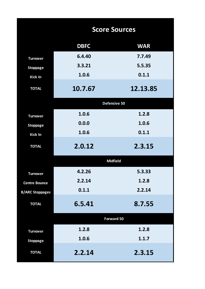|                        | <b>Score Sources</b> |                   |  |  |  |  |  |  |  |  |
|------------------------|----------------------|-------------------|--|--|--|--|--|--|--|--|
|                        | <b>DBFC</b>          | <b>WAR</b>        |  |  |  |  |  |  |  |  |
| <b>Turnover</b>        | 6.4.40               | 7.7.49            |  |  |  |  |  |  |  |  |
| <b>Stoppage</b>        | 3.3.21               | 5.5.35            |  |  |  |  |  |  |  |  |
| Kick In                | 1.0.6                | 0.1.1             |  |  |  |  |  |  |  |  |
| <b>TOTAL</b>           | 10.7.67              | 12.13.85          |  |  |  |  |  |  |  |  |
|                        |                      | Defensive 50      |  |  |  |  |  |  |  |  |
| <b>Turnover</b>        | 1.0.6                | 1.2.8             |  |  |  |  |  |  |  |  |
| <b>Stoppage</b>        | 0.0.0                | 1.0.6             |  |  |  |  |  |  |  |  |
| Kick In                | 1.0.6                | 0.1.1             |  |  |  |  |  |  |  |  |
| <b>TOTAL</b>           | 2.0.12               | 2.3.15            |  |  |  |  |  |  |  |  |
|                        |                      | <b>Midfield</b>   |  |  |  |  |  |  |  |  |
| <b>Turnover</b>        | 4.2.26               | 5.3.33            |  |  |  |  |  |  |  |  |
| <b>Centre Bounce</b>   | 2.2.14               | 1.2.8             |  |  |  |  |  |  |  |  |
| <b>B/ARC Stoppages</b> | 0.1.1                | 2.2.14            |  |  |  |  |  |  |  |  |
| <b>TOTAL</b>           | 6.5.41               | 8.7.55            |  |  |  |  |  |  |  |  |
|                        |                      | <b>Forward 50</b> |  |  |  |  |  |  |  |  |
| <b>Turnover</b>        | 1.2.8                | 1.2.8             |  |  |  |  |  |  |  |  |
| <b>Stoppage</b>        | 1.0.6                | 1.1.7             |  |  |  |  |  |  |  |  |
| <b>TOTAL</b>           | 2.2.14               | 2.3.15            |  |  |  |  |  |  |  |  |